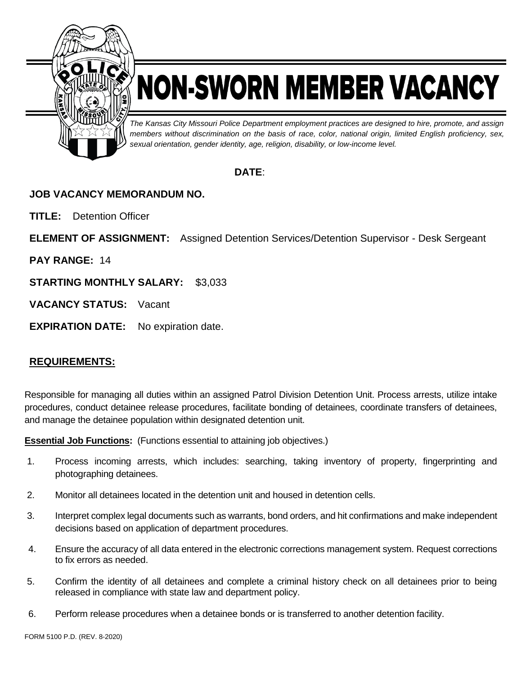

# NON-SWORN MEMBER VACANCY

*The Kansas City Missouri Police Department employment practices are designed to hire, promote, and assign members without discrimination on the basis of race, color, national origin, limited English proficiency, sex, sexual orientation, gender identity, age, religion, disability, or low-income level.*

## **DATE**:

## **JOB VACANCY MEMORANDUM NO.**

**TITLE:** Detention Officer

**ELEMENT OF ASSIGNMENT:** Assigned Detention Services/Detention Supervisor - Desk Sergeant

**PAY RANGE:** 14

**STARTING MONTHLY SALARY:** \$3,033

**VACANCY STATUS:** Vacant

**EXPIRATION DATE:** No expiration date.

### **REQUIREMENTS:**

Responsible for managing all duties within an assigned Patrol Division Detention Unit. Process arrests, utilize intake procedures, conduct detainee release procedures, facilitate bonding of detainees, coordinate transfers of detainees, and manage the detainee population within designated detention unit.

**Essential Job Functions:** (Functions essential to attaining job objectives.)

- 1. Process incoming arrests, which includes: searching, taking inventory of property, fingerprinting and photographing detainees.
- 2. Monitor all detainees located in the detention unit and housed in detention cells.
- 3. Interpret complex legal documents such as warrants, bond orders, and hit confirmations and make independent decisions based on application of department procedures.
- 4. Ensure the accuracy of all data entered in the electronic corrections management system. Request corrections to fix errors as needed.
- 5. Confirm the identity of all detainees and complete a criminal history check on all detainees prior to being released in compliance with state law and department policy.
- 6. Perform release procedures when a detainee bonds or is transferred to another detention facility.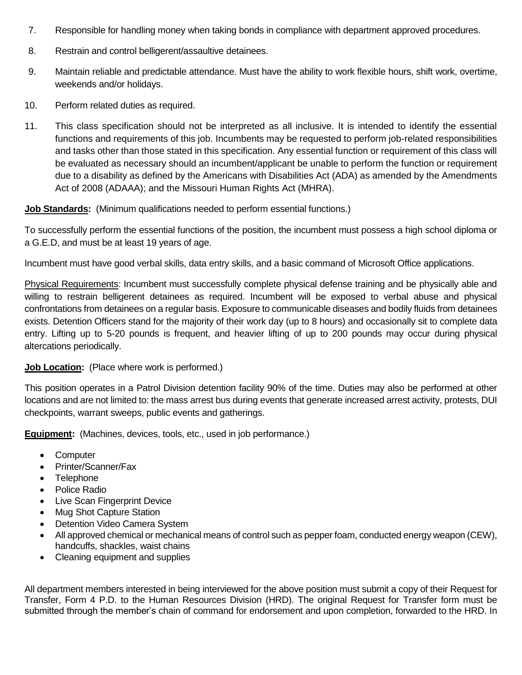- 7. Responsible for handling money when taking bonds in compliance with department approved procedures.
- 8. Restrain and control belligerent/assaultive detainees.
- 9. Maintain reliable and predictable attendance. Must have the ability to work flexible hours, shift work, overtime, weekends and/or holidays.
- 10. Perform related duties as required.
- 11. This class specification should not be interpreted as all inclusive. It is intended to identify the essential functions and requirements of this job. Incumbents may be requested to perform job-related responsibilities and tasks other than those stated in this specification. Any essential function or requirement of this class will be evaluated as necessary should an incumbent/applicant be unable to perform the function or requirement due to a disability as defined by the Americans with Disabilities Act (ADA) as amended by the Amendments Act of 2008 (ADAAA); and the Missouri Human Rights Act (MHRA).

#### **Job Standards:** (Minimum qualifications needed to perform essential functions.)

To successfully perform the essential functions of the position, the incumbent must possess a high school diploma or a G.E.D, and must be at least 19 years of age.

Incumbent must have good verbal skills, data entry skills, and a basic command of Microsoft Office applications.

Physical Requirements: Incumbent must successfully complete physical defense training and be physically able and willing to restrain belligerent detainees as required. Incumbent will be exposed to verbal abuse and physical confrontations from detainees on a regular basis. Exposure to communicable diseases and bodily fluids from detainees exists. Detention Officers stand for the majority of their work day (up to 8 hours) and occasionally sit to complete data entry. Lifting up to 5-20 pounds is frequent, and heavier lifting of up to 200 pounds may occur during physical altercations periodically.

#### **Job Location:** (Place where work is performed.)

This position operates in a Patrol Division detention facility 90% of the time. Duties may also be performed at other locations and are not limited to: the mass arrest bus during events that generate increased arrest activity, protests, DUI checkpoints, warrant sweeps, public events and gatherings.

**Equipment:** (Machines, devices, tools, etc., used in job performance.)

- Computer
- Printer/Scanner/Fax
- Telephone
- Police Radio
- Live Scan Fingerprint Device
- Mug Shot Capture Station
- Detention Video Camera System
- All approved chemical or mechanical means of control such as pepper foam, conducted energy weapon (CEW), handcuffs, shackles, waist chains
- Cleaning equipment and supplies

All department members interested in being interviewed for the above position must submit a copy of their Request for Transfer, Form 4 P.D. to the Human Resources Division (HRD). The original Request for Transfer form must be submitted through the member's chain of command for endorsement and upon completion, forwarded to the HRD. In